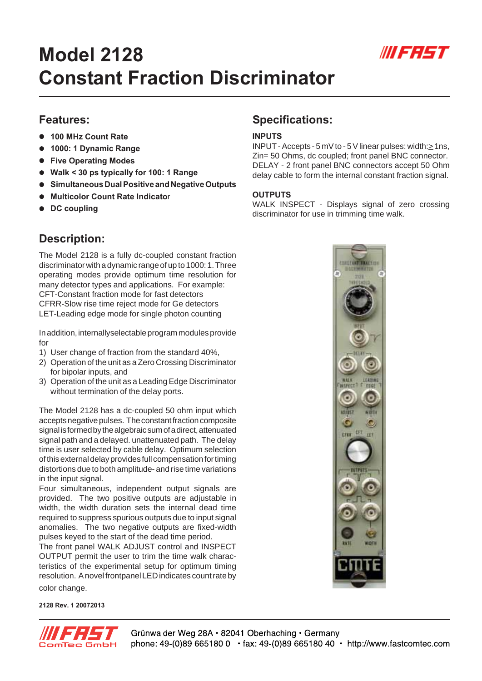

# **Model 2128 Constant Fraction Discriminator**

## **Features:**

- z **100 MHz Count Rate**
- $\bullet$  **1000: 1 Dynamic Range**
- **Five Operating Modes**
- z **Walk < 30 ps typically for 100: 1 Range**
- **Simultaneous Dual Positive and Negative Outputs**
- **Multicolor Count Rate Indicator**
- **•** DC coupling

# **Description:**

The Model 2128 is a fully dc-coupled constant fraction discriminator with a dynamic range of up to 1000: 1. Three operating modes provide optimum time resolution for many detector types and applications. For example: CFT-Constant fraction mode for fast detectors CFRR-Slow rise time reject mode for Ge detectors LET-Leading edge mode for single photon counting

In addition, internallyselectable program modules provide for

- 1) User change of fraction from the standard 40%,
- 2) Operation of the unit as a Zero Crossing Discriminator for bipolar inputs, and
- 3) Operation of the unit as a Leading Edge Discriminator without termination of the delay ports.

The Model 2128 has a dc-coupled 50 ohm input which accepts negative pulses. The constant fraction composite signal is formed by the algebraic sum of a direct, attenuated signal path and a delayed. unattenuated path. The delay time is user selected by cable delay. Optimum selection of this external delay provides full compensation for timing distortions due to both amplitude- and rise time variations in the input signal.

Four simultaneous, independent output signals are provided. The two positive outputs are adjustable in width, the width duration sets the internal dead time required to suppress spurious outputs due to input signal anomalies. The two negative outputs are fixed-width pulses keyed to the start of the dead time period.

The front panel WALK ADJUST control and INSPECT OUTPUT permit the user to trim the time walk characteristics of the experimental setup for optimum timing resolution. A novel frontpanel LED indicates count rate by color change.

**2128 Rev. 1 20072013**



## **Specifications:**

#### **INPUTS**

INPUT - Accepts - 5 mV to - 5 V linear pulses: width:> 1ns, Zin= 50 Ohms, dc coupled; front panel BNC connector. DELAY - 2 front panel BNC connectors accept 50 Ohm delay cable to form the internal constant fraction signal.

#### **OUTPUTS**

WALK INSPECT - Displays signal of zero crossing discriminator for use in trimming time walk.